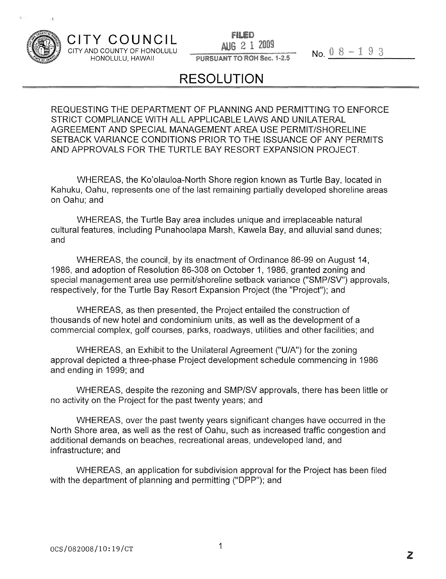

**CITY COUNCIL**

FILED CITY AND COUNTY OF HONOLULU **AUG** 2 1 2009<br>
HONOLULU, HAWAII PURSUANT TO ROH Sec. 1-2.5 No.  $0.8 - 1.9.3$ 

### PURSUANT TO ROH Sec. 1-2.5

## **RESOLUTION**

REQUESTING THE DEPARTMENT OF PLANNING AND PERMITTING TO ENFORCE STRICT COMPLIANCE WITH ALL APPLICABLE LAWS AND UNILATERAL AGREEMENT AND SPECIAL MANAGEMENT AREA USE PERMIT/SHORELINE SETBACK VARIANCE CONDITIONS PRIOR TO THE ISSUANCE OF ANY PERMITS AND APPROVALS FOR THE TURTLE BAY RESORT EXPANSION PROJECT.

WHEREAS, the Ko'olauloa-North Shore region known as Turtle Bay, located in Kahuku, Oahu, represents one of the last remaining partially developed shoreline areas on Oahu; and

WHEREAS, the Turtle Bay area includes unique and irreplaceable natural cultural features, including Punahoolapa Marsh, Kawela Bay, and alluvial sand dunes; and

WHEREAS, the council, by its enactment of Ordinance 86-99 on August 14, 1986, and adoption of Resolution 86-308 on October 1, 1986, granted zoning and special management area use permit/shoreline setback variance ("SMP/SV") approvals, respectively, for the Turtle Bay Resort Expansion Project (the "Project"); and

WHEREAS, as then presented, the Project entailed the construction of thousands of new hotel and condominium units, as well as the development of a commercial complex, golf courses, parks, roadways, utilities and other facilities; and

WHEREAS, an Exhibit to the Unilateral Agreement ("U/A") for the zoning approval depicted a three-phase Project development schedule commencing in 1986 and ending in 1999; and

WHEREAS, despite the rezoning and SMP/SV approvals, there has been little or no activity on the Project for the past twenty years; and

WHEREAS, over the past twenty years significant changes have occurred in the North Shore area, as well as the rest of Oahu, such as increased traffic congestion and additional demands on beaches, recreational areas, undeveloped land, and infrastructure; and

WHEREAS, an application for subdivision approval for the Project has been filed with the department of planning and permitting ("DPP"); and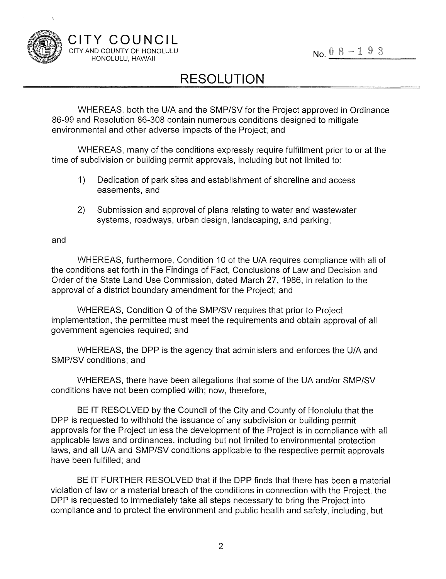

# **RESOLUTION**

WHEREAS, both the U/A and the SMP/SV for the Project approved in Ordinance 86-99 and Resolution 86-308 contain numerous conditions designed to mitigate environmental and other adverse impacts of the Project; and

WHEREAS, many of the conditions expressly require fulfillment prior to or at the time of subdivision or building permit approvals, including but not limited to:

- 1) Dedication of park sites and establishment of shoreline and access easements, and
- 2) Submission and approval of plans relating to water and wastewater systems, roadways, urban design, landscaping, and parking;

#### and

WHEREAS, furthermore, Condition 10 of the U/A requires compliance with all of the conditions set forth in the Findings of Fact, Conclusions of Law and Decision and Order of the State Land Use Commission, dated March 27, 1986, in relation to the approval of a district boundary amendment for the Project; and

WHEREAS, Condition Q of the SMP/SV requires that prior to Project implementation, the permittee must meet the requirements and obtain approval of all government agencies required; and

WHEREAS, the DPP is the agency that administers and enforces the U/A and SMP/SV conditions; and

WHEREAS, there have been allegations that some of the UA and/or SMP/SV conditions have not been complied with; now, therefore,

BE IT RESOLVED by the Council of the City and County of Honolulu that the DPP is requested to withhold the issuance of any subdivision or building permit approvals for the Project unless the development of the Project is in compliance with all applicable laws and ordinances, including but not limited to environmental protection laws, and all U/A and SMP/SV conditions applicable to the respective permit approvals have been fulfilled; and

BE IT FURTHER RESOLVED that if the DPP finds that there has been a material violation of law or a material breach of the conditions in connection with the Project, the DPP is requested to immediately take all steps necessary to bring the Project into compliance and to protect the environment and public health and safety, including, but